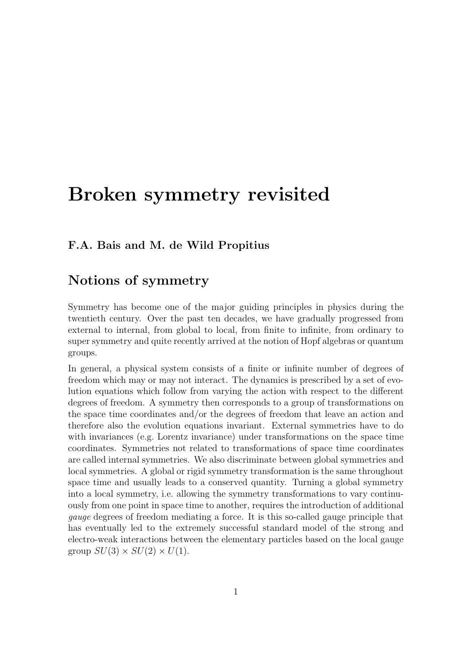## Broken symmetry revisited

#### F.A. Bais and M. de Wild Propitius

#### Notions of symmetry

Symmetry has become one of the major guiding principles in physics during the twentieth century. Over the past ten decades, we have gradually progressed from external to internal, from global to local, from finite to infinite, from ordinary to super symmetry and quite recently arrived at the notion of Hopf algebras or quantum groups.

In general, a physical system consists of a finite or infinite number of degrees of freedom which may or may not interact. The dynamics is prescribed by a set of evolution equations which follow from varying the action with respect to the different degrees of freedom. A symmetry then corresponds to a group of transformations on the space time coordinates and/or the degrees of freedom that leave an action and therefore also the evolution equations invariant. External symmetries have to do with invariances (e.g. Lorentz invariance) under transformations on the space time coordinates. Symmetries not related to transformations of space time coordinates are called internal symmetries. We also discriminate between global symmetries and local symmetries. A global or rigid symmetry transformation is the same throughout space time and usually leads to a conserved quantity. Turning a global symmetry into a local symmetry, i.e. allowing the symmetry transformations to vary continuously from one point in space time to another, requires the introduction of additional gauge degrees of freedom mediating a force. It is this so-called gauge principle that has eventually led to the extremely successful standard model of the strong and electro-weak interactions between the elementary particles based on the local gauge group  $SU(3) \times SU(2) \times U(1)$ .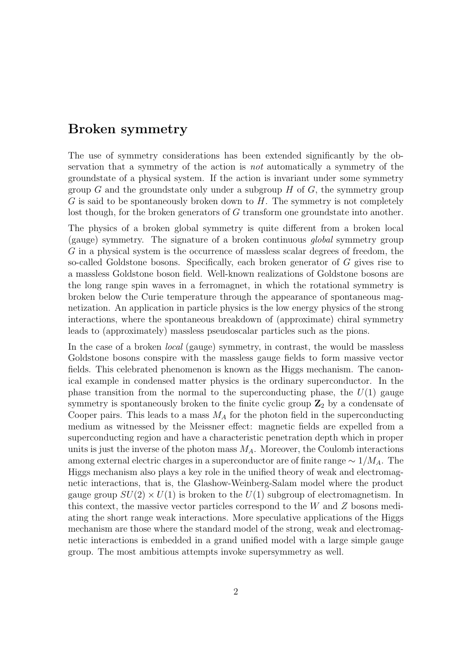#### Broken symmetry

The use of symmetry considerations has been extended significantly by the observation that a symmetry of the action is not automatically a symmetry of the groundstate of a physical system. If the action is invariant under some symmetry group G and the groundstate only under a subgroup  $H$  of  $G$ , the symmetry group G is said to be spontaneously broken down to  $H$ . The symmetry is not completely lost though, for the broken generators of G transform one groundstate into another.

The physics of a broken global symmetry is quite different from a broken local (gauge) symmetry. The signature of a broken continuous global symmetry group G in a physical system is the occurrence of massless scalar degrees of freedom, the so-called Goldstone bosons. Specifically, each broken generator of G gives rise to a massless Goldstone boson field. Well-known realizations of Goldstone bosons are the long range spin waves in a ferromagnet, in which the rotational symmetry is broken below the Curie temperature through the appearance of spontaneous magnetization. An application in particle physics is the low energy physics of the strong interactions, where the spontaneous breakdown of (approximate) chiral symmetry leads to (approximately) massless pseudoscalar particles such as the pions.

In the case of a broken local (gauge) symmetry, in contrast, the would be massless Goldstone bosons conspire with the massless gauge fields to form massive vector fields. This celebrated phenomenon is known as the Higgs mechanism. The canonical example in condensed matter physics is the ordinary superconductor. In the phase transition from the normal to the superconducting phase, the  $U(1)$  gauge symmetry is spontaneously broken to the finite cyclic group  $\mathbb{Z}_2$  by a condensate of Cooper pairs. This leads to a mass  $M_A$  for the photon field in the superconducting medium as witnessed by the Meissner effect: magnetic fields are expelled from a superconducting region and have a characteristic penetration depth which in proper units is just the inverse of the photon mass  $M_A$ . Moreover, the Coulomb interactions among external electric charges in a superconductor are of finite range  $\sim 1/M_A$ . The Higgs mechanism also plays a key role in the unified theory of weak and electromagnetic interactions, that is, the Glashow-Weinberg-Salam model where the product gauge group  $SU(2) \times U(1)$  is broken to the  $U(1)$  subgroup of electromagnetism. In this context, the massive vector particles correspond to the W and Z bosons mediating the short range weak interactions. More speculative applications of the Higgs mechanism are those where the standard model of the strong, weak and electromagnetic interactions is embedded in a grand unified model with a large simple gauge group. The most ambitious attempts invoke supersymmetry as well.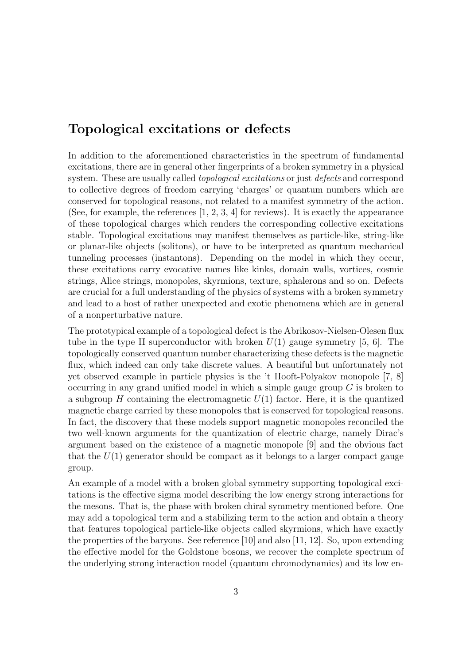#### Topological excitations or defects

In addition to the aforementioned characteristics in the spectrum of fundamental excitations, there are in general other fingerprints of a broken symmetry in a physical system. These are usually called *topological excitations* or just *defects* and correspond to collective degrees of freedom carrying 'charges' or quantum numbers which are conserved for topological reasons, not related to a manifest symmetry of the action. (See, for example, the references  $[1, 2, 3, 4]$  for reviews). It is exactly the appearance of these topological charges which renders the corresponding collective excitations stable. Topological excitations may manifest themselves as particle-like, string-like or planar-like objects (solitons), or have to be interpreted as quantum mechanical tunneling processes (instantons). Depending on the model in which they occur, these excitations carry evocative names like kinks, domain walls, vortices, cosmic strings, Alice strings, monopoles, skyrmions, texture, sphalerons and so on. Defects are crucial for a full understanding of the physics of systems with a broken symmetry and lead to a host of rather unexpected and exotic phenomena which are in general of a nonperturbative nature.

The prototypical example of a topological defect is the Abrikosov-Nielsen-Olesen flux tube in the type II superconductor with broken  $U(1)$  gauge symmetry [5, 6]. The topologically conserved quantum number characterizing these defects is the magnetic flux, which indeed can only take discrete values. A beautiful but unfortunately not yet observed example in particle physics is the 't Hooft-Polyakov monopole [7, 8] occurring in any grand unified model in which a simple gauge group  $G$  is broken to a subgroup H containing the electromagnetic  $U(1)$  factor. Here, it is the quantized magnetic charge carried by these monopoles that is conserved for topological reasons. In fact, the discovery that these models support magnetic monopoles reconciled the two well-known arguments for the quantization of electric charge, namely Dirac's argument based on the existence of a magnetic monopole [9] and the obvious fact that the  $U(1)$  generator should be compact as it belongs to a larger compact gauge group.

An example of a model with a broken global symmetry supporting topological excitations is the effective sigma model describing the low energy strong interactions for the mesons. That is, the phase with broken chiral symmetry mentioned before. One may add a topological term and a stabilizing term to the action and obtain a theory that features topological particle-like objects called skyrmions, which have exactly the properties of the baryons. See reference [10] and also [11, 12]. So, upon extending the effective model for the Goldstone bosons, we recover the complete spectrum of the underlying strong interaction model (quantum chromodynamics) and its low en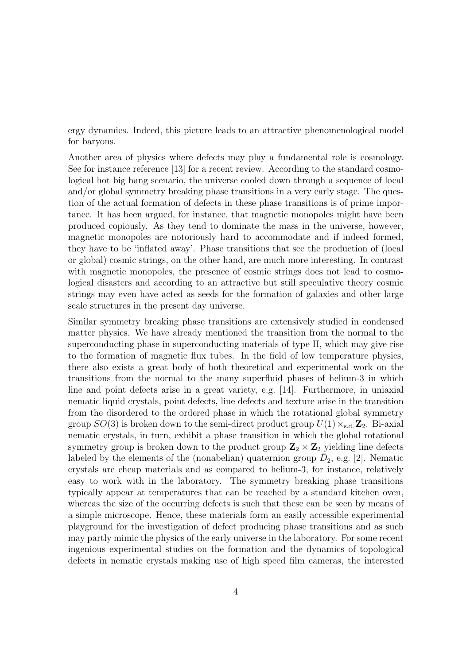ergy dynamics. Indeed, this picture leads to an attractive phenomenological model for baryons.

Another area of physics where defects may play a fundamental role is cosmology. See for instance reference [13] for a recent review. According to the standard cosmological hot big bang scenario, the universe cooled down through a sequence of local and/or global symmetry breaking phase transitions in a very early stage. The question of the actual formation of defects in these phase transitions is of prime importance. It has been argued, for instance, that magnetic monopoles might have been produced copiously. As they tend to dominate the mass in the universe, however, magnetic monopoles are notoriously hard to accommodate and if indeed formed, they have to be 'inflated away'. Phase transitions that see the production of (local or global) cosmic strings, on the other hand, are much more interesting. In contrast with magnetic monopoles, the presence of cosmic strings does not lead to cosmological disasters and according to an attractive but still speculative theory cosmic strings may even have acted as seeds for the formation of galaxies and other large scale structures in the present day universe.

Similar symmetry breaking phase transitions are extensively studied in condensed matter physics. We have already mentioned the transition from the normal to the superconducting phase in superconducting materials of type II, which may give rise to the formation of magnetic flux tubes. In the field of low temperature physics, there also exists a great body of both theoretical and experimental work on the transitions from the normal to the many superfluid phases of helium-3 in which line and point defects arise in a great variety, e.g. [14]. Furthermore, in uniaxial nematic liquid crystals, point defects, line defects and texture arise in the transition from the disordered to the ordered phase in which the rotational global symmetry group  $SO(3)$  is broken down to the semi-direct product group  $U(1) \times_{s.d.} \mathbb{Z}_2$ . Bi-axial nematic crystals, in turn, exhibit a phase transition in which the global rotational symmetry group is broken down to the product group  $\mathbb{Z}_2 \times \mathbb{Z}_2$  yielding line defects labeled by the elements of the (nonabelian) quaternion group  $\bar{D}_2$ , e.g. [2]. Nematic crystals are cheap materials and as compared to helium-3, for instance, relatively easy to work with in the laboratory. The symmetry breaking phase transitions typically appear at temperatures that can be reached by a standard kitchen oven, whereas the size of the occurring defects is such that these can be seen by means of a simple microscope. Hence, these materials form an easily accessible experimental playground for the investigation of defect producing phase transitions and as such may partly mimic the physics of the early universe in the laboratory. For some recent ingenious experimental studies on the formation and the dynamics of topological defects in nematic crystals making use of high speed film cameras, the interested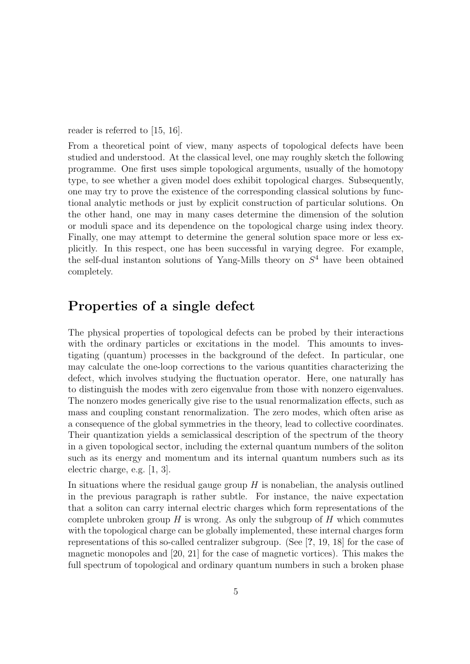reader is referred to [15, 16].

From a theoretical point of view, many aspects of topological defects have been studied and understood. At the classical level, one may roughly sketch the following programme. One first uses simple topological arguments, usually of the homotopy type, to see whether a given model does exhibit topological charges. Subsequently, one may try to prove the existence of the corresponding classical solutions by functional analytic methods or just by explicit construction of particular solutions. On the other hand, one may in many cases determine the dimension of the solution or moduli space and its dependence on the topological charge using index theory. Finally, one may attempt to determine the general solution space more or less explicitly. In this respect, one has been successful in varying degree. For example, the self-dual instanton solutions of Yang-Mills theory on  $S<sup>4</sup>$  have been obtained completely.

#### Properties of a single defect

The physical properties of topological defects can be probed by their interactions with the ordinary particles or excitations in the model. This amounts to investigating (quantum) processes in the background of the defect. In particular, one may calculate the one-loop corrections to the various quantities characterizing the defect, which involves studying the fluctuation operator. Here, one naturally has to distinguish the modes with zero eigenvalue from those with nonzero eigenvalues. The nonzero modes generically give rise to the usual renormalization effects, such as mass and coupling constant renormalization. The zero modes, which often arise as a consequence of the global symmetries in the theory, lead to collective coordinates. Their quantization yields a semiclassical description of the spectrum of the theory in a given topological sector, including the external quantum numbers of the soliton such as its energy and momentum and its internal quantum numbers such as its electric charge, e.g. [1, 3].

In situations where the residual gauge group  $H$  is nonabelian, the analysis outlined in the previous paragraph is rather subtle. For instance, the naive expectation that a soliton can carry internal electric charges which form representations of the complete unbroken group  $H$  is wrong. As only the subgroup of  $H$  which commutes with the topological charge can be globally implemented, these internal charges form representations of this so-called centralizer subgroup. (See [?, 19, 18] for the case of magnetic monopoles and [20, 21] for the case of magnetic vortices). This makes the full spectrum of topological and ordinary quantum numbers in such a broken phase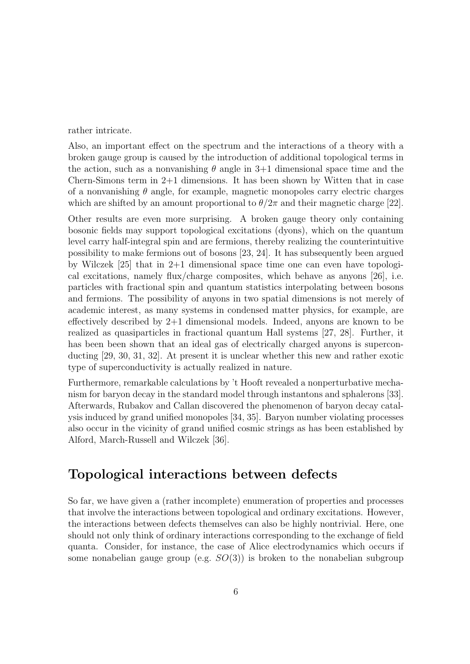rather intricate.

Also, an important effect on the spectrum and the interactions of a theory with a broken gauge group is caused by the introduction of additional topological terms in the action, such as a nonvanishing  $\theta$  angle in 3+1 dimensional space time and the Chern-Simons term in 2+1 dimensions. It has been shown by Witten that in case of a nonvanishing  $\theta$  angle, for example, magnetic monopoles carry electric charges which are shifted by an amount proportional to  $\theta/2\pi$  and their magnetic charge [22].

Other results are even more surprising. A broken gauge theory only containing bosonic fields may support topological excitations (dyons), which on the quantum level carry half-integral spin and are fermions, thereby realizing the counterintuitive possibility to make fermions out of bosons [23, 24]. It has subsequently been argued by Wilczek [25] that in 2+1 dimensional space time one can even have topological excitations, namely flux/charge composites, which behave as anyons [26], i.e. particles with fractional spin and quantum statistics interpolating between bosons and fermions. The possibility of anyons in two spatial dimensions is not merely of academic interest, as many systems in condensed matter physics, for example, are effectively described by 2+1 dimensional models. Indeed, anyons are known to be realized as quasiparticles in fractional quantum Hall systems [27, 28]. Further, it has been been shown that an ideal gas of electrically charged anyons is superconducting [29, 30, 31, 32]. At present it is unclear whether this new and rather exotic type of superconductivity is actually realized in nature.

Furthermore, remarkable calculations by 't Hooft revealed a nonperturbative mechanism for baryon decay in the standard model through instantons and sphalerons [33]. Afterwards, Rubakov and Callan discovered the phenomenon of baryon decay catalysis induced by grand unified monopoles [34, 35]. Baryon number violating processes also occur in the vicinity of grand unified cosmic strings as has been established by Alford, March-Russell and Wilczek [36].

### Topological interactions between defects

So far, we have given a (rather incomplete) enumeration of properties and processes that involve the interactions between topological and ordinary excitations. However, the interactions between defects themselves can also be highly nontrivial. Here, one should not only think of ordinary interactions corresponding to the exchange of field quanta. Consider, for instance, the case of Alice electrodynamics which occurs if some nonabelian gauge group (e.g.  $SO(3)$ ) is broken to the nonabelian subgroup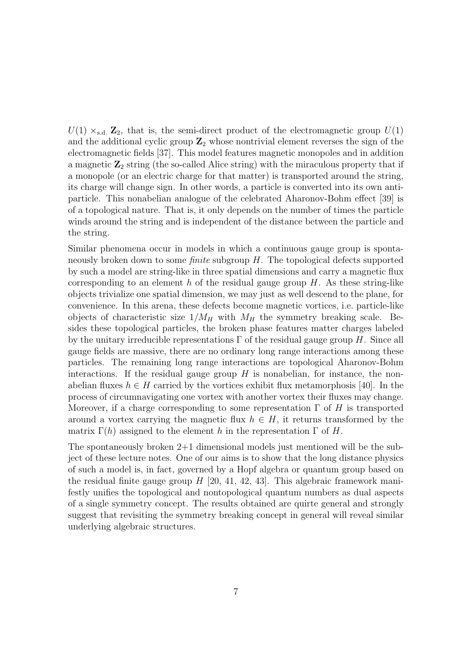$U(1) \times_{\text{sd}} \mathbb{Z}_2$ , that is, the semi-direct product of the electromagnetic group  $U(1)$ and the additional cyclic group  $\mathbb{Z}_2$  whose nontrivial element reverses the sign of the electromagnetic fields [37]. This model features magnetic monopoles and in addition a magnetic  $\mathbb{Z}_2$  string (the so-called Alice string) with the miraculous property that if a monopole (or an electric charge for that matter) is transported around the string, its charge will change sign. In other words, a particle is converted into its own antiparticle. This nonabelian analogue of the celebrated Aharonov-Bohm effect [39] is of a topological nature. That is, it only depends on the number of times the particle winds around the string and is independent of the distance between the particle and the string.

Similar phenomena occur in models in which a continuous gauge group is spontaneously broken down to some finite subgroup H. The topological defects supported by such a model are string-like in three spatial dimensions and carry a magnetic flux corresponding to an element h of the residual gauge group  $H$ . As these string-like objects trivialize one spatial dimension, we may just as well descend to the plane, for convenience. In this arena, these defects become magnetic vortices, i.e. particle-like objects of characteristic size  $1/M_H$  with  $M_H$  the symmetry breaking scale. Besides these topological particles, the broken phase features matter charges labeled by the unitary irreducible representations  $\Gamma$  of the residual gauge group H. Since all gauge fields are massive, there are no ordinary long range interactions among these particles. The remaining long range interactions are topological Aharonov-Bohm interactions. If the residual gauge group  $H$  is nonabelian, for instance, the nonabelian fluxes  $h \in H$  carried by the vortices exhibit flux metamorphosis [40]. In the process of circumnavigating one vortex with another vortex their fluxes may change. Moreover, if a charge corresponding to some representation  $\Gamma$  of H is transported around a vortex carrying the magnetic flux  $h \in H$ , it returns transformed by the matrix  $\Gamma(h)$  assigned to the element h in the representation  $\Gamma$  of H.

The spontaneously broken 2+1 dimensional models just mentioned will be the subject of these lecture notes. One of our aims is to show that the long distance physics of such a model is, in fact, governed by a Hopf algebra or quantum group based on the residual finite gauge group  $H$  [20, 41, 42, 43]. This algebraic framework manifestly unifies the topological and nontopological quantum numbers as dual aspects of a single symmetry concept. The results obtained are quirte general and strongly suggest that revisiting the symmetry breaking concept in general will reveal similar underlying algebraic structures.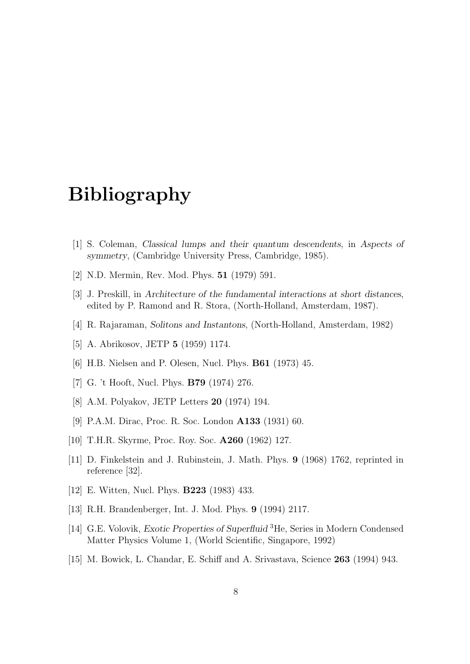# Bibliography

- [1] S. Coleman, Classical lumps and their quantum descendents, in Aspects of symmetry, (Cambridge University Press, Cambridge, 1985).
- [2] N.D. Mermin, Rev. Mod. Phys. 51 (1979) 591.
- [3] J. Preskill, in Architecture of the fundamental interactions at short distances, edited by P. Ramond and R. Stora, (North-Holland, Amsterdam, 1987).
- [4] R. Rajaraman, Solitons and Instantons, (North-Holland, Amsterdam, 1982)
- [5] A. Abrikosov, JETP 5 (1959) 1174.
- [6] H.B. Nielsen and P. Olesen, Nucl. Phys. B61 (1973) 45.
- [7] G. 't Hooft, Nucl. Phys. B79 (1974) 276.
- [8] A.M. Polyakov, JETP Letters 20 (1974) 194.
- [9] P.A.M. Dirac, Proc. R. Soc. London A133 (1931) 60.
- [10] T.H.R. Skyrme, Proc. Roy. Soc. A260 (1962) 127.
- [11] D. Finkelstein and J. Rubinstein, J. Math. Phys. 9 (1968) 1762, reprinted in reference [32].
- [12] E. Witten, Nucl. Phys. B223 (1983) 433.
- [13] R.H. Brandenberger, Int. J. Mod. Phys. 9 (1994) 2117.
- [14] G.E. Volovik, Exotic Properties of Superfluid <sup>3</sup>He, Series in Modern Condensed Matter Physics Volume 1, (World Scientific, Singapore, 1992)
- [15] M. Bowick, L. Chandar, E. Schiff and A. Srivastava, Science 263 (1994) 943.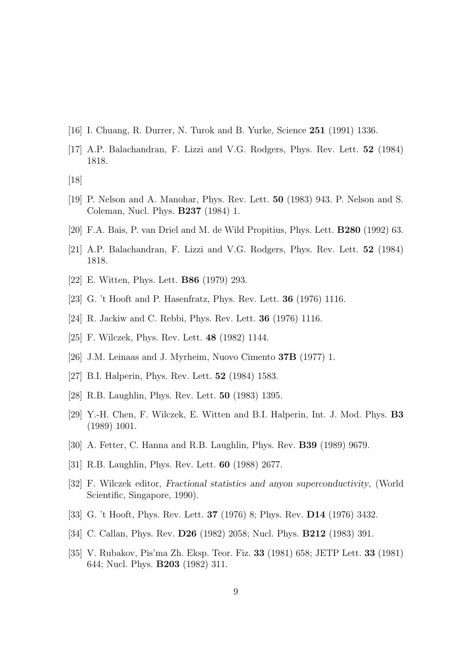- [16] I. Chuang, R. Durrer, N. Turok and B. Yurke, Science 251 (1991) 1336.
- [17] A.P. Balachandran, F. Lizzi and V.G. Rodgers, Phys. Rev. Lett. 52 (1984) 1818.
- [18]
- [19] P. Nelson and A. Manohar, Phys. Rev. Lett. 50 (1983) 943. P. Nelson and S. Coleman, Nucl. Phys. B237 (1984) 1.
- [20] F.A. Bais, P. van Driel and M. de Wild Propitius, Phys. Lett. B280 (1992) 63.
- [21] A.P. Balachandran, F. Lizzi and V.G. Rodgers, Phys. Rev. Lett. 52 (1984) 1818.
- [22] E. Witten, Phys. Lett. B86 (1979) 293.
- [23] G. 't Hooft and P. Hasenfratz, Phys. Rev. Lett. 36 (1976) 1116.
- [24] R. Jackiw and C. Rebbi, Phys. Rev. Lett. 36 (1976) 1116.
- [25] F. Wilczek, Phys. Rev. Lett. 48 (1982) 1144.
- [26] J.M. Leinaas and J. Myrheim, Nuovo Cimento 37B (1977) 1.
- [27] B.I. Halperin, Phys. Rev. Lett. **52** (1984) 1583.
- [28] R.B. Laughlin, Phys. Rev. Lett. 50 (1983) 1395.
- [29] Y.-H. Chen, F. Wilczek, E. Witten and B.I. Halperin, Int. J. Mod. Phys. B3 (1989) 1001.
- [30] A. Fetter, C. Hanna and R.B. Laughlin, Phys. Rev. B39 (1989) 9679.
- [31] R.B. Laughlin, Phys. Rev. Lett. 60 (1988) 2677.
- [32] F. Wilczek editor, Fractional statistics and anyon superconductivity, (World Scientific, Singapore, 1990).
- [33] G. 't Hooft, Phys. Rev. Lett. **37** (1976) 8; Phys. Rev. **D14** (1976) 3432.
- [34] C. Callan, Phys. Rev. D26 (1982) 2058; Nucl. Phys. B212 (1983) 391.
- [35] V. Rubakov, Pis'ma Zh. Eksp. Teor. Fiz. 33 (1981) 658; JETP Lett. 33 (1981) 644; Nucl. Phys. B203 (1982) 311.